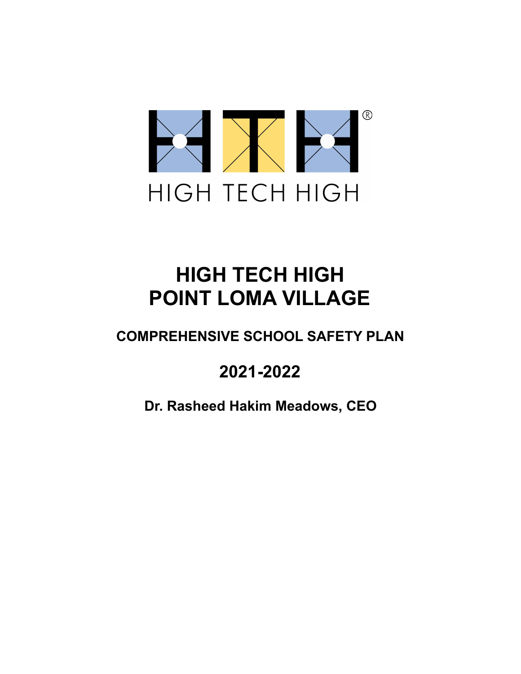

# **HIGH TECH HIGH POINT LOMA VILLAGE**

## **COMPREHENSIVE SCHOOL SAFETY PLAN**

# **2021-2022**

**Dr. Rasheed Hakim Meadows, CEO**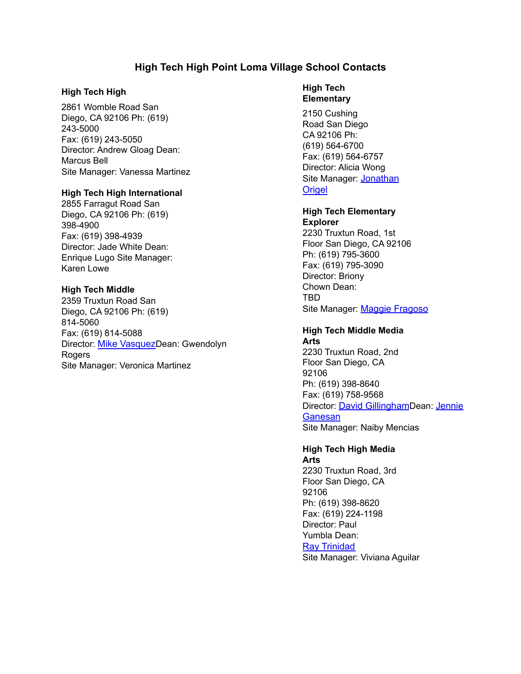## **High Tech High Point Loma Village School Contacts**

#### **High Tech High**

2861 Womble Road San Diego, CA 92106 Ph: (619) 243-5000 Fax: (619) 243-5050 Director: Andrew Gloag Dean: Marcus Bell Site Manager: Vanessa Martinez

#### **High Tech High International**

2855 Farragut Road San Diego, CA 92106 Ph: (619) 398-4900 Fax: (619) 398-4939 Director: Jade White Dean: Enrique Lugo Site Manager: Karen Lowe

## **High Tech Middle**

2359 Truxtun Road San Diego, CA 92106 Ph: (619) 814-5060 Fax: (619) 814-5088 Director: Mike [Vasquez](mailto:mvasquez@hightechhigh.org)Dean: Gwendolyn Rogers Site Manager: Veronica Martinez

## **High Tech Elementary**

2150 Cushing Road San Diego CA 92106 Ph: (619) 564-6700 Fax: (619) 564-6757 Director: Alicia Wong Site Manager: [Jonathan](mailto:jorigel@hightechhigh.org) **[Origel](mailto:jorigel@hightechhigh.org)** 

## **High Tech Elementary**

**Explorer** 2230 Truxtun Road, 1st Floor San Diego, CA 92106 Ph: (619) 795-3600 Fax: (619) 795-3090 Director: Briony Chown Dean: TBD Site Manager: Maggie [Fragoso](mailto:mfragoso@hightechhigh.org)

#### **High Tech Middle Media Arts**

2230 Truxtun Road, 2nd Floor San Diego, CA 92106 Ph: (619) 398-8640 Fax: (619) 758-9568 Director: David [Gillingham](mailto:dgillingham@hightechhigh.org)Dean: [Jennie](mailto:jganesan@hightechhigh.org) **[Ganesan](mailto:jganesan@hightechhigh.org)** Site Manager: Naiby Mencias

## **High Tech High Media**

**Arts** 2230 Truxtun Road, 3rd Floor San Diego, CA 92106 Ph: (619) 398-8620 Fax: (619) 224-1198 Director: Paul Yumbla Dean: Ray [Trinidad](mailto:rtrinidad@hightechhigh.org) Site Manager: Viviana Aguilar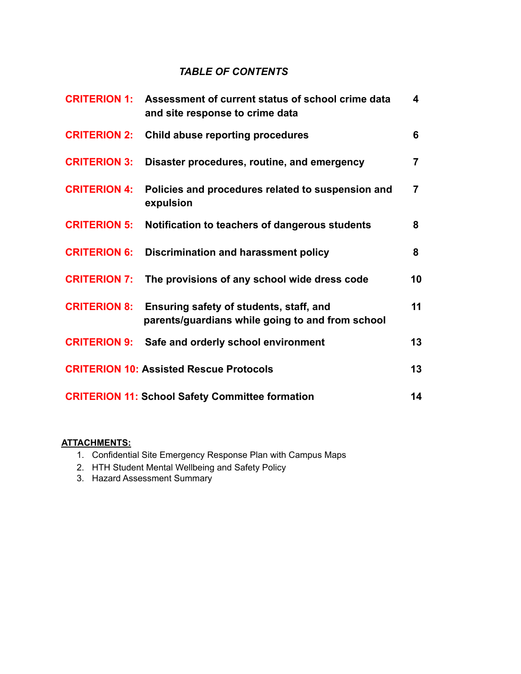## *TABLE OF CONTENTS*

| <b>CRITERION 1:</b> | Assessment of current status of school crime data<br>and site response to crime data        | 4              |
|---------------------|---------------------------------------------------------------------------------------------|----------------|
| <b>CRITERION 2:</b> | Child abuse reporting procedures                                                            | 6              |
| <b>CRITERION 3:</b> | Disaster procedures, routine, and emergency                                                 | $\overline{7}$ |
| <b>CRITERION 4:</b> | Policies and procedures related to suspension and<br>expulsion                              | 7              |
| <b>CRITERION 5:</b> | Notification to teachers of dangerous students                                              | 8              |
| <b>CRITERION 6:</b> | <b>Discrimination and harassment policy</b>                                                 | 8              |
| <b>CRITERION 7:</b> | The provisions of any school wide dress code                                                | 10             |
| <b>CRITERION 8:</b> | Ensuring safety of students, staff, and<br>parents/guardians while going to and from school | 11             |
| <b>CRITERION 9:</b> | Safe and orderly school environment                                                         | 13             |
|                     | <b>CRITERION 10: Assisted Rescue Protocols</b>                                              | 13             |
|                     | <b>CRITERION 11: School Safety Committee formation</b>                                      | 14             |

## **ATTACHMENTS:**

- 1. Confidential Site Emergency Response Plan with Campus Maps
- 2. HTH Student Mental Wellbeing and Safety Policy
- 3. Hazard Assessment Summary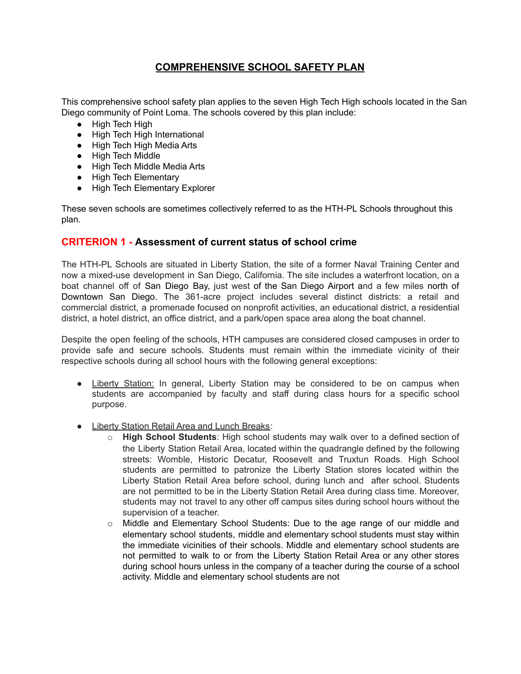## **COMPREHENSIVE SCHOOL SAFETY PLAN**

This comprehensive school safety plan applies to the seven High Tech High schools located in the San Diego community of Point Loma. The schools covered by this plan include:

- High Tech High
- High Tech High International
- High Tech High Media Arts
- High Tech Middle
- High Tech Middle Media Arts
- High Tech Elementary
- High Tech Elementary Explorer

These seven schools are sometimes collectively referred to as the HTH-PL Schools throughout this plan.

## **CRITERION 1 - Assessment of current status of school crime**

The HTH-PL Schools are situated in Liberty Station, the site of a former Naval Training Center and now a mixed-use development in San Diego, California. The site includes a waterfront location, on a boat channel off of San Diego Bay, just west of the San Diego Airport and a few miles north of Downtown San Diego. The 361-acre project includes several distinct districts: a retail and commercial district, a promenade focused on nonprofit activities, an educational district, a residential district, a hotel district, an office district, and a park/open space area along the boat channel.

Despite the open feeling of the schools, HTH campuses are considered closed campuses in order to provide safe and secure schools. Students must remain within the immediate vicinity of their respective schools during all school hours with the following general exceptions:

- Liberty Station: In general, Liberty Station may be considered to be on campus when students are accompanied by faculty and staff during class hours for a specific school purpose.
- Liberty Station Retail Area and Lunch Breaks:
	- o **High School Students**: High school students may walk over to a defined section of the Liberty Station Retail Area, located within the quadrangle defined by the following streets: Womble, Historic Decatur, Roosevelt and Truxtun Roads. High School students are permitted to patronize the Liberty Station stores located within the Liberty Station Retail Area before school, during lunch and after school. Students are not permitted to be in the Liberty Station Retail Area during class time. Moreover, students may not travel to any other off campus sites during school hours without the supervision of a teacher.
	- o Middle and Elementary School Students: Due to the age range of our middle and elementary school students, middle and elementary school students must stay within the immediate vicinities of their schools. Middle and elementary school students are not permitted to walk to or from the Liberty Station Retail Area or any other stores during school hours unless in the company of a teacher during the course of a school activity. Middle and elementary school students are not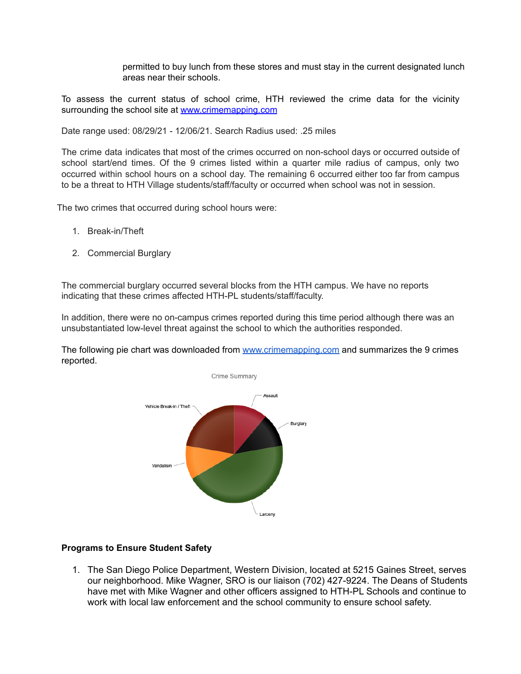permitted to buy lunch from these stores and must stay in the current designated lunch areas near their schools.

To assess the current status of school crime, HTH reviewed the crime data for the vicinity surrounding the school site at [www.crimemapping.com](http://www.crimemapping.com/)

Date range used: 08/29/21 - 12/06/21. Search Radius used: .25 miles

The crime data indicates that most of the crimes occurred on non-school days or occurred outside of school start/end times. Of the 9 crimes listed within a quarter mile radius of campus, only two occurred within school hours on a school day. The remaining 6 occurred either too far from campus to be a threat to HTH Village students/staff/faculty or occurred when school was not in session.

The two crimes that occurred during school hours were:

- 1. Break-in/Theft
- 2. Commercial Burglary

The commercial burglary occurred several blocks from the HTH campus. We have no reports indicating that these crimes affected HTH-PL students/staff/faculty.

In addition, there were no on-campus crimes reported during this time period although there was an unsubstantiated low-level threat against the school to which the authorities responded.

The following pie chart was downloaded from [www.crimemapping.com](http://www.crimemapping.com/) and summarizes the 9 crimes reported.



#### **Programs to Ensure Student Safety**

1. The San Diego Police Department, Western Division, located at 5215 Gaines Street, serves our neighborhood. Mike Wagner, SRO is our liaison (702) 427-9224. The Deans of Students have met with Mike Wagner and other officers assigned to HTH-PL Schools and continue to work with local law enforcement and the school community to ensure school safety.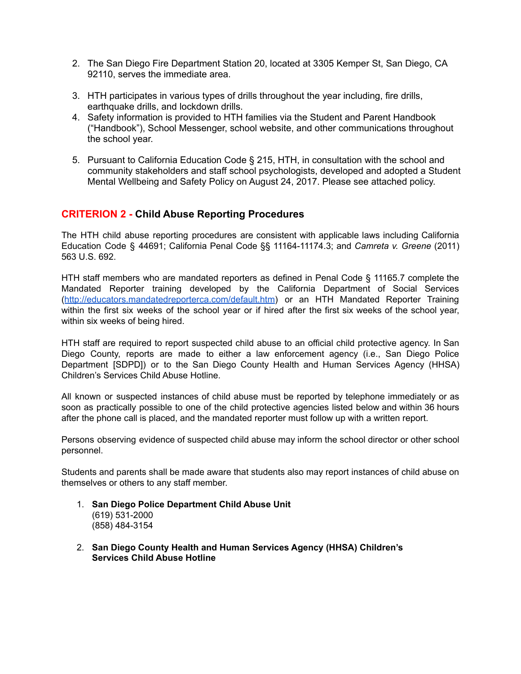- 2. The San Diego Fire Department Station 20, located at 3305 Kemper St, San Diego, CA 92110, serves the immediate area.
- 3. HTH participates in various types of drills throughout the year including, fire drills, earthquake drills, and lockdown drills.
- 4. Safety information is provided to HTH families via the Student and Parent Handbook ("Handbook"), School Messenger, school website, and other communications throughout the school year.
- 5. Pursuant to California Education Code § 215, HTH, in consultation with the school and community stakeholders and staff school psychologists, developed and adopted a Student Mental Wellbeing and Safety Policy on August 24, 2017. Please see attached policy.

## <span id="page-5-0"></span>**CRITERION 2 - Child Abuse Reporting Procedures**

The HTH child abuse reporting procedures are consistent with applicable laws including California Education Code § 44691; California Penal Code §§ 11164-11174.3; and *Camreta v. Greene* (2011) 563 U.S. 692.

HTH staff members who are mandated reporters as defined in Penal Code § 11165.7 complete the Mandated Reporter training developed by the California Department of Social Services ([http://educators.mandatedreporterca.com/default.htm\)](http://educators.mandatedreporterca.com/default.htm)) or an HTH Mandated Reporter Training within the first six weeks of the school year or if hired after the first six weeks of the school year, within six weeks of being hired.

HTH staff are required to report suspected child abuse to an official child protective agency. In San Diego County, reports are made to either a law enforcement agency (i.e., San Diego Police Department [SDPD]) or to the San Diego County Health and Human Services Agency (HHSA) Children's Services Child Abuse Hotline.

All known or suspected instances of child abuse must be reported by telephone immediately or as soon as practically possible to one of the child protective agencies listed below and within 36 hours after the phone call is placed, and the mandated reporter must follow up with a written report.

Persons observing evidence of suspected child abuse may inform the school director or other school personnel.

Students and parents shall be made aware that students also may report instances of child abuse on themselves or others to any staff member.

- 1. **San Diego Police Department Child Abuse Unit** (619) 531-2000 (858) 484-3154
- 2. **San Diego County Health and Human Services Agency (HHSA) Children's Services Child Abuse Hotline**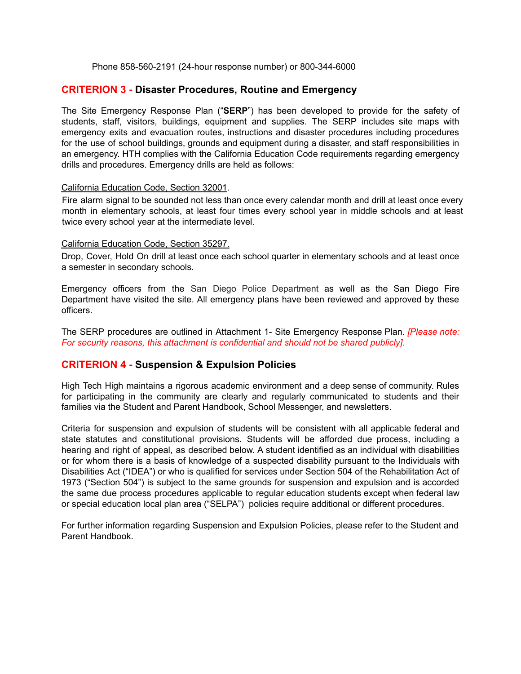Phone 858-560-2191 (24-hour response number) or 800-344-6000

## <span id="page-6-0"></span>**CRITERION 3 - Disaster Procedures, Routine and Emergency**

The Site Emergency Response Plan ("**SERP**") has been developed to provide for the safety of students, staff, visitors, buildings, equipment and supplies. The SERP includes site maps with emergency exits and evacuation routes, instructions and disaster procedures including procedures for the use of school buildings, grounds and equipment during a disaster, and staff responsibilities in an emergency. HTH complies with the California Education Code requirements regarding emergency drills and procedures. Emergency drills are held as follows:

#### California Education Code, Section 32001.

Fire alarm signal to be sounded not less than once every calendar month and drill at least once every month in elementary schools, at least four times every school year in middle schools and at least twice every school year at the intermediate level.

#### California Education Code, Section 35297.

Drop, Cover, Hold On drill at least once each school quarter in elementary schools and at least once a semester in secondary schools.

Emergency officers from the San Diego Police Department as well as the San Diego Fire Department have visited the site. All emergency plans have been reviewed and approved by these officers.

The SERP procedures are outlined in Attachment 1- Site Emergency Response Plan. *[Please note: For security reasons, this attachment is confidential and should not be shared publicly].*

## **CRITERION 4 - Suspension & Expulsion Policies**

High Tech High maintains a rigorous academic environment and a deep sense of community. Rules for participating in the community are clearly and regularly communicated to students and their families via the Student and Parent Handbook, School Messenger, and newsletters.

Criteria for suspension and expulsion of students will be consistent with all applicable federal and state statutes and constitutional provisions. Students will be afforded due process, including a hearing and right of appeal, as described below. A student identified as an individual with disabilities or for whom there is a basis of knowledge of a suspected disability pursuant to the Individuals with Disabilities Act ("IDEA") or who is qualified for services under Section 504 of the Rehabilitation Act of 1973 ("Section 504") is subject to the same grounds for suspension and expulsion and is accorded the same due process procedures applicable to regular education students except when federal law or special education local plan area ("SELPA") policies require additional or different procedures.

For further information regarding Suspension and Expulsion Policies, please refer to the Student and Parent Handbook.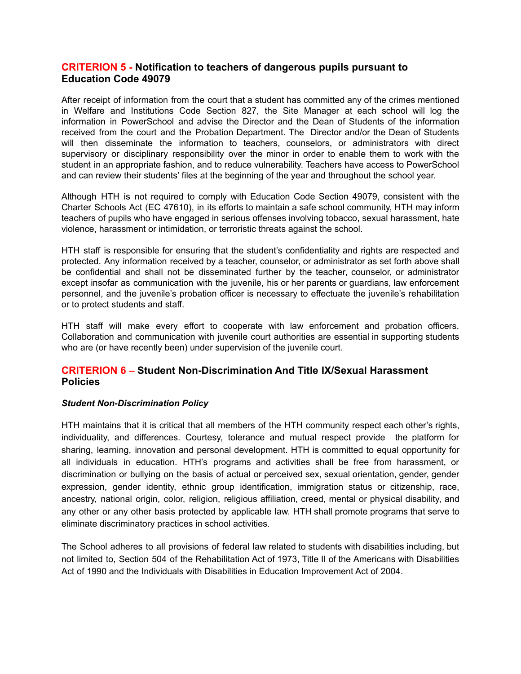## **CRITERION 5 - Notification to teachers of dangerous pupils pursuant to Education Code 49079**

After receipt of information from the court that a student has committed any of the crimes mentioned in Welfare and Institutions Code Section 827, the Site Manager at each school will log the information in PowerSchool and advise the Director and the Dean of Students of the information received from the court and the Probation Department. The Director and/or the Dean of Students will then disseminate the information to teachers, counselors, or administrators with direct supervisory or disciplinary responsibility over the minor in order to enable them to work with the student in an appropriate fashion, and to reduce vulnerability. Teachers have access to PowerSchool and can review their students' files at the beginning of the year and throughout the school year.

Although HTH is not required to comply with Education Code Section 49079, consistent with the Charter Schools Act (EC 47610), in its efforts to maintain a safe school community, HTH may inform teachers of pupils who have engaged in serious offenses involving tobacco, sexual harassment, hate violence, harassment or intimidation, or terroristic threats against the school.

HTH staff is responsible for ensuring that the student's confidentiality and rights are respected and protected. Any information received by a teacher, counselor, or administrator as set forth above shall be confidential and shall not be disseminated further by the teacher, counselor, or administrator except insofar as communication with the juvenile, his or her parents or guardians, law enforcement personnel, and the juvenile's probation officer is necessary to effectuate the juvenile's rehabilitation or to protect students and staff.

HTH staff will make every effort to cooperate with law enforcement and probation officers. Collaboration and communication with juvenile court authorities are essential in supporting students who are (or have recently been) under supervision of the juvenile court.

## **CRITERION 6 – Student Non-Discrimination And Title IX/Sexual Harassment Policies**

## *Student Non-Discrimination Policy*

HTH maintains that it is critical that all members of the HTH community respect each other's rights, individuality, and differences. Courtesy, tolerance and mutual respect provide the platform for sharing, learning, innovation and personal development. HTH is committed to equal opportunity for all individuals in education. HTH's programs and activities shall be free from harassment, or discrimination or bullying on the basis of actual or perceived sex, sexual orientation, gender, gender expression, gender identity, ethnic group identification, immigration status or citizenship, race, ancestry, national origin, color, religion, religious affiliation, creed, mental or physical disability, and any other or any other basis protected by applicable law. HTH shall promote programs that serve to eliminate discriminatory practices in school activities.

The School adheres to all provisions of federal law related to students with disabilities including, but not limited to, Section 504 of the Rehabilitation Act of 1973, Title II of the Americans with Disabilities Act of 1990 and the Individuals with Disabilities in Education Improvement Act of 2004.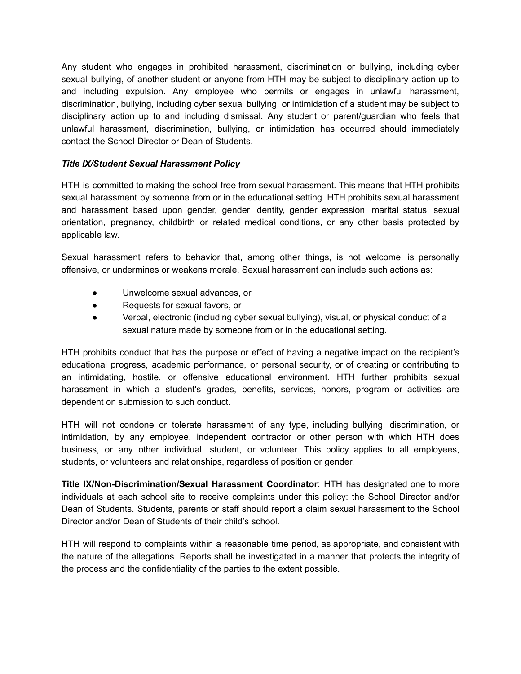Any student who engages in prohibited harassment, discrimination or bullying, including cyber sexual bullying, of another student or anyone from HTH may be subject to disciplinary action up to and including expulsion. Any employee who permits or engages in unlawful harassment, discrimination, bullying, including cyber sexual bullying, or intimidation of a student may be subject to disciplinary action up to and including dismissal. Any student or parent/guardian who feels that unlawful harassment, discrimination, bullying, or intimidation has occurred should immediately contact the School Director or Dean of Students.

## *Title IX/Student Sexual Harassment Policy*

HTH is committed to making the school free from sexual harassment. This means that HTH prohibits sexual harassment by someone from or in the educational setting. HTH prohibits sexual harassment and harassment based upon gender, gender identity, gender expression, marital status, sexual orientation, pregnancy, childbirth or related medical conditions, or any other basis protected by applicable law.

Sexual harassment refers to behavior that, among other things, is not welcome, is personally offensive, or undermines or weakens morale. Sexual harassment can include such actions as:

- Unwelcome sexual advances, or
- Requests for sexual favors, or
- Verbal, electronic (including cyber sexual bullying), visual, or physical conduct of a sexual nature made by someone from or in the educational setting.

HTH prohibits conduct that has the purpose or effect of having a negative impact on the recipient's educational progress, academic performance, or personal security, or of creating or contributing to an intimidating, hostile, or offensive educational environment. HTH further prohibits sexual harassment in which a student's grades, benefits, services, honors, program or activities are dependent on submission to such conduct.

HTH will not condone or tolerate harassment of any type, including bullying, discrimination, or intimidation, by any employee, independent contractor or other person with which HTH does business, or any other individual, student, or volunteer. This policy applies to all employees, students, or volunteers and relationships, regardless of position or gender.

**Title IX/Non-Discrimination/Sexual Harassment Coordinator**: HTH has designated one to more individuals at each school site to receive complaints under this policy: the School Director and/or Dean of Students. Students, parents or staff should report a claim sexual harassment to the School Director and/or Dean of Students of their child's school.

HTH will respond to complaints within a reasonable time period, as appropriate, and consistent with the nature of the allegations. Reports shall be investigated in a manner that protects the integrity of the process and the confidentiality of the parties to the extent possible.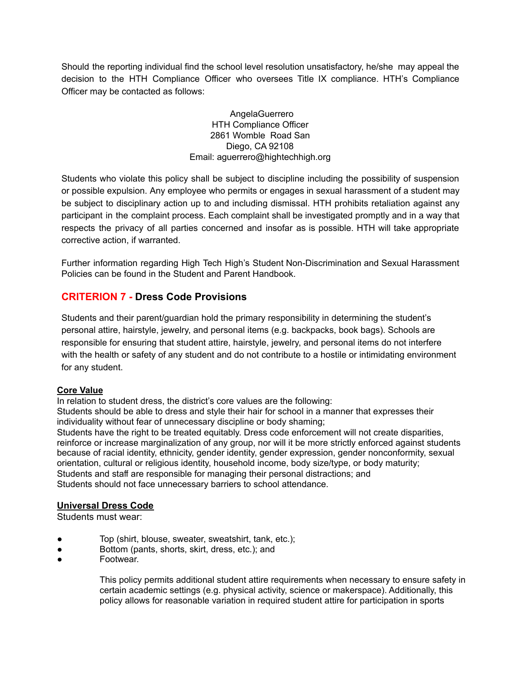Should the reporting individual find the school level resolution unsatisfactory, he/she may appeal the decision to the HTH Compliance Officer who oversees Title IX compliance. HTH's Compliance Officer may be contacted as follows:

> AngelaGuerrero HTH Compliance Officer 2861 Womble Road San Diego, CA 92108 Email: aguerrero@hightechhigh.org

Students who violate this policy shall be subject to discipline including the possibility of suspension or possible expulsion. Any employee who permits or engages in sexual harassment of a student may be subject to disciplinary action up to and including dismissal. HTH prohibits retaliation against any participant in the complaint process. Each complaint shall be investigated promptly and in a way that respects the privacy of all parties concerned and insofar as is possible. HTH will take appropriate corrective action, if warranted.

Further information regarding High Tech High's Student Non-Discrimination and Sexual Harassment Policies can be found in the Student and Parent Handbook.

## **CRITERION 7 - Dress Code Provisions**

Students and their parent/guardian hold the primary responsibility in determining the student's personal attire, hairstyle, jewelry, and personal items (e.g. backpacks, book bags). Schools are responsible for ensuring that student attire, hairstyle, jewelry, and personal items do not interfere with the health or safety of any student and do not contribute to a hostile or intimidating environment for any student.

## **Core Value**

In relation to student dress, the district's core values are the following:

Students should be able to dress and style their hair for school in a manner that expresses their individuality without fear of unnecessary discipline or body shaming;

Students have the right to be treated equitably. Dress code enforcement will not create disparities, reinforce or increase marginalization of any group, nor will it be more strictly enforced against students because of racial identity, ethnicity, gender identity, gender expression, gender nonconformity, sexual orientation, cultural or religious identity, household income, body size/type, or body maturity; Students and staff are responsible for managing their personal distractions; and Students should not face unnecessary barriers to school attendance.

## **Universal Dress Code**

Students must wear:

- Top (shirt, blouse, sweater, sweatshirt, tank, etc.);
- Bottom (pants, shorts, skirt, dress, etc.); and
- Footwear.

This policy permits additional student attire requirements when necessary to ensure safety in certain academic settings (e.g. physical activity, science or makerspace). Additionally, this policy allows for reasonable variation in required student attire for participation in sports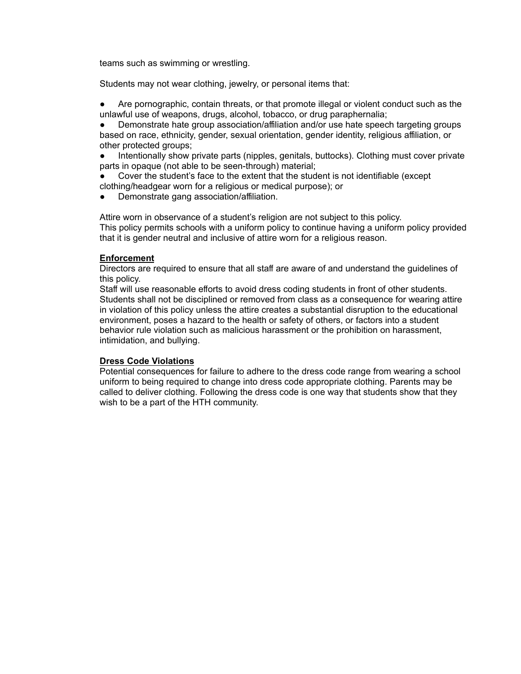teams such as swimming or wrestling.

Students may not wear clothing, jewelry, or personal items that:

Are pornographic, contain threats, or that promote illegal or violent conduct such as the unlawful use of weapons, drugs, alcohol, tobacco, or drug paraphernalia;

Demonstrate hate group association/affiliation and/or use hate speech targeting groups based on race, ethnicity, gender, sexual orientation, gender identity, religious affiliation, or other protected groups;

Intentionally show private parts (nipples, genitals, buttocks). Clothing must cover private parts in opaque (not able to be seen-through) material;

Cover the student's face to the extent that the student is not identifiable (except clothing/headgear worn for a religious or medical purpose); or

Demonstrate gang association/affiliation.

Attire worn in observance of a student's religion are not subject to this policy. This policy permits schools with a uniform policy to continue having a uniform policy provided that it is gender neutral and inclusive of attire worn for a religious reason.

#### **Enforcement**

Directors are required to ensure that all staff are aware of and understand the guidelines of this policy.

Staff will use reasonable efforts to avoid dress coding students in front of other students. Students shall not be disciplined or removed from class as a consequence for wearing attire in violation of this policy unless the attire creates a substantial disruption to the educational environment, poses a hazard to the health or safety of others, or factors into a student behavior rule violation such as malicious harassment or the prohibition on harassment, intimidation, and bullying.

#### **Dress Code Violations**

Potential consequences for failure to adhere to the dress code range from wearing a school uniform to being required to change into dress code appropriate clothing. Parents may be called to deliver clothing. Following the dress code is one way that students show that they wish to be a part of the HTH community.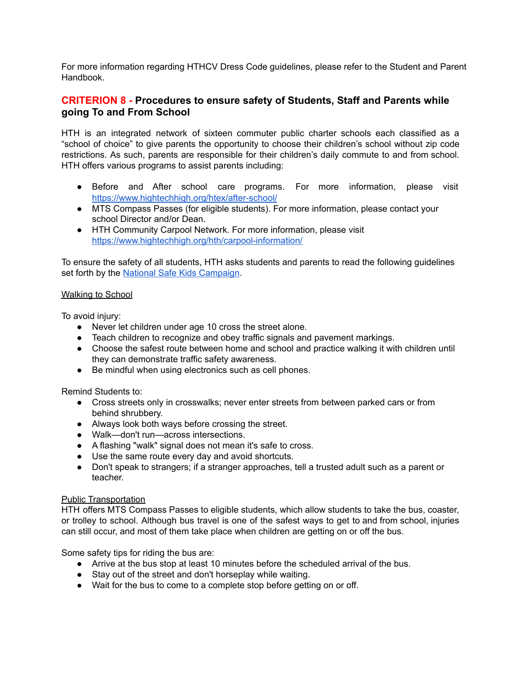For more information regarding HTHCV Dress Code guidelines, please refer to the Student and Parent Handbook.

## **CRITERION 8 - Procedures to ensure safety of Students, Staff and Parents while going To and From School**

HTH is an integrated network of sixteen commuter public charter schools each classified as a "school of choice" to give parents the opportunity to choose their children's school without zip code restrictions. As such, parents are responsible for their children's daily commute to and from school. HTH offers various programs to assist parents including:

- Before and After school care programs. For more information, please visit https://[www.hightechhigh.org/htex/after-school/](http://www.hightechhigh.org/htex/after-school/)
- MTS Compass Passes (for eligible students). For more information, please contact your school Director and/or Dean.
- HTH Community Carpool Network. For more information, please visit https://[www.hightechhigh.org/hth/carpool-information/](http://www.hightechhigh.org/hth/carpool-information/)

To ensure the safety of all students, HTH asks students and parents to read the following guidelines set forth by the National Safe Kids Campaign.

## Walking to School

To avoid injury:

- Never let children under age 10 cross the street alone.
- Teach children to recognize and obey traffic signals and pavement markings.
- Choose the safest route between home and school and practice walking it with children until they can demonstrate traffic safety awareness.
- Be mindful when using electronics such as cell phones.

Remind Students to:

- Cross streets only in crosswalks; never enter streets from between parked cars or from behind shrubbery.
- Always look both ways before crossing the street.
- Walk—don't run—across intersections.
- A flashing "walk" signal does not mean it's safe to cross.
- Use the same route every day and avoid shortcuts.
- Don't speak to strangers; if a stranger approaches, tell a trusted adult such as a parent or teacher.

## Public Transportation

HTH offers MTS Compass Passes to eligible students, which allow students to take the bus, coaster, or trolley to school. Although bus travel is one of the safest ways to get to and from school, injuries can still occur, and most of them take place when children are getting on or off the bus.

Some safety tips for riding the bus are:

- Arrive at the bus stop at least 10 minutes before the scheduled arrival of the bus.
- Stay out of the street and don't horseplay while waiting.
- Wait for the bus to come to a complete stop before getting on or off.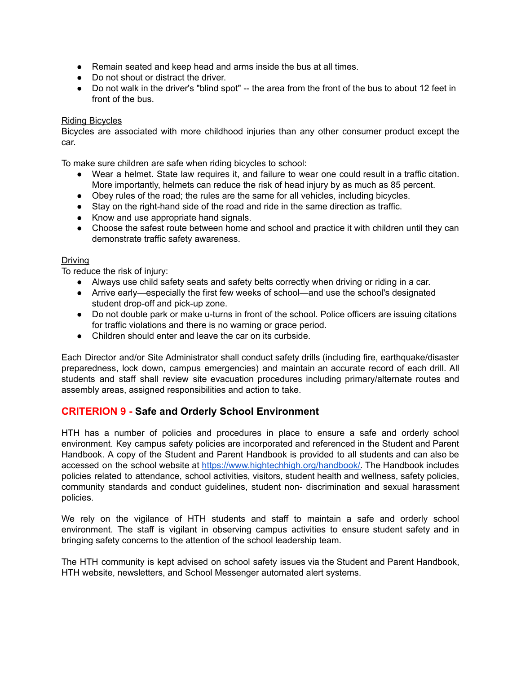- Remain seated and keep head and arms inside the bus at all times.
- Do not shout or distract the driver.
- Do not walk in the driver's "blind spot" -- the area from the front of the bus to about 12 feet in front of the bus.

#### Riding Bicycles

Bicycles are associated with more childhood injuries than any other consumer product except the car.

To make sure children are safe when riding bicycles to school:

- Wear a helmet. State law requires it, and failure to wear one could result in a traffic citation. More importantly, helmets can reduce the risk of head injury by as much as 85 percent.
- Obey rules of the road; the rules are the same for all vehicles, including bicycles.
- Stay on the right-hand side of the road and ride in the same direction as traffic.
- Know and use appropriate hand signals.
- Choose the safest route between home and school and practice it with children until they can demonstrate traffic safety awareness.

#### Driving

To reduce the risk of injury:

- Always use child safety seats and safety belts correctly when driving or riding in a car.
- Arrive early—especially the first few weeks of school—and use the school's designated student drop-off and pick-up zone.
- Do not double park or make u-turns in front of the school. Police officers are issuing citations for traffic violations and there is no warning or grace period.
- Children should enter and leave the car on its curbside.

Each Director and/or Site Administrator shall conduct safety drills (including fire, earthquake/disaster preparedness, lock down, campus emergencies) and maintain an accurate record of each drill. All students and staff shall review site evacuation procedures including primary/alternate routes and assembly areas, assigned responsibilities and action to take.

## <span id="page-13-0"></span>**CRITERION 9 - Safe and Orderly School Environment**

HTH has a number of policies and procedures in place to ensure a safe and orderly school environment. Key campus safety policies are incorporated and referenced in the Student and Parent Handbook. A copy of the Student and Parent Handbook is provided to all students and can also be accessed on the school website at https://[www.hightechhigh.org/handbook/.](http://www.hightechhigh.org/handbook/) The Handbook includes policies related to attendance, school activities, visitors, student health and wellness, safety policies, community standards and conduct guidelines, student non- discrimination and sexual harassment policies.

We rely on the vigilance of HTH students and staff to maintain a safe and orderly school environment. The staff is vigilant in observing campus activities to ensure student safety and in bringing safety concerns to the attention of the school leadership team.

The HTH community is kept advised on school safety issues via the Student and Parent Handbook, HTH website, newsletters, and School Messenger automated alert systems.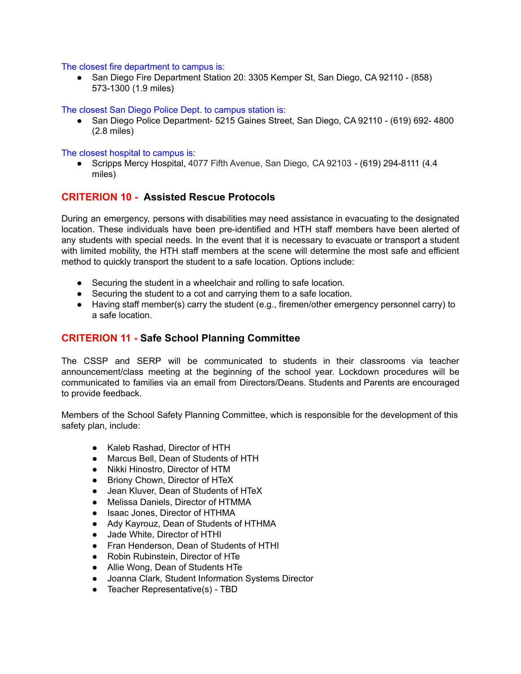#### The closest fire department to campus is:

● San Diego Fire Department Station 20: 3305 Kemper St, San Diego, CA 92110 - (858) 573-1300 (1.9 miles)

The closest San Diego Police Dept. to campus station is:

● San Diego Police Department- 5215 Gaines Street, San Diego, CA 92110 - (619) 692- 4800 (2.8 miles)

#### The closest hospital to campus is:

● Scripps Mercy Hospital, 4077 Fifth Avenue, San Diego, CA 92103 - (619) 294-8111 (4.4 miles)

## <span id="page-14-0"></span>**CRITERION 10 - Assisted Rescue Protocols**

During an emergency, persons with disabilities may need assistance in evacuating to the designated location. These individuals have been pre-identified and HTH staff members have been alerted of any students with special needs. In the event that it is necessary to evacuate or transport a student with limited mobility, the HTH staff members at the scene will determine the most safe and efficient method to quickly transport the student to a safe location. Options include:

- Securing the student in a wheelchair and rolling to safe location.
- Securing the student to a cot and carrying them to a safe location.
- Having staff member(s) carry the student (e.g., firemen/other emergency personnel carry) to a safe location.

## **CRITERION 11 - Safe School Planning Committee**

The CSSP and SERP will be communicated to students in their classrooms via teacher announcement/class meeting at the beginning of the school year. Lockdown procedures will be communicated to families via an email from Directors/Deans. Students and Parents are encouraged to provide feedback.

Members of the School Safety Planning Committee, which is responsible for the development of this safety plan, include:

- Kaleb Rashad, Director of HTH
- Marcus Bell, Dean of Students of HTH
- Nikki Hinostro, Director of HTM
- Briony Chown, Director of HTeX
- Jean Kluver, Dean of Students of HTeX
- Melissa Daniels, Director of HTMMA
- Isaac Jones, Director of HTHMA
- Ady Kayrouz, Dean of Students of HTHMA
- Jade White, Director of HTHI
- Fran Henderson, Dean of Students of HTHI
- Robin Rubinstein, Director of HTe
- Allie Wong, Dean of Students HTe
- Joanna Clark, Student Information Systems Director
- Teacher Representative(s) TBD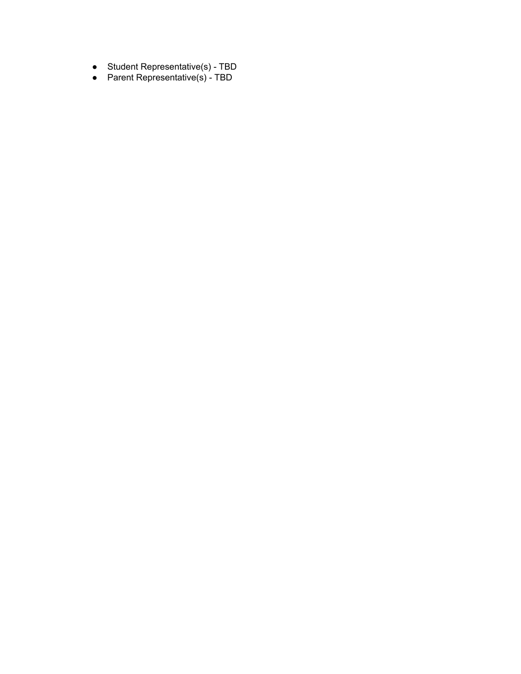- Student Representative(s) TBD
- Parent Representative(s) TBD